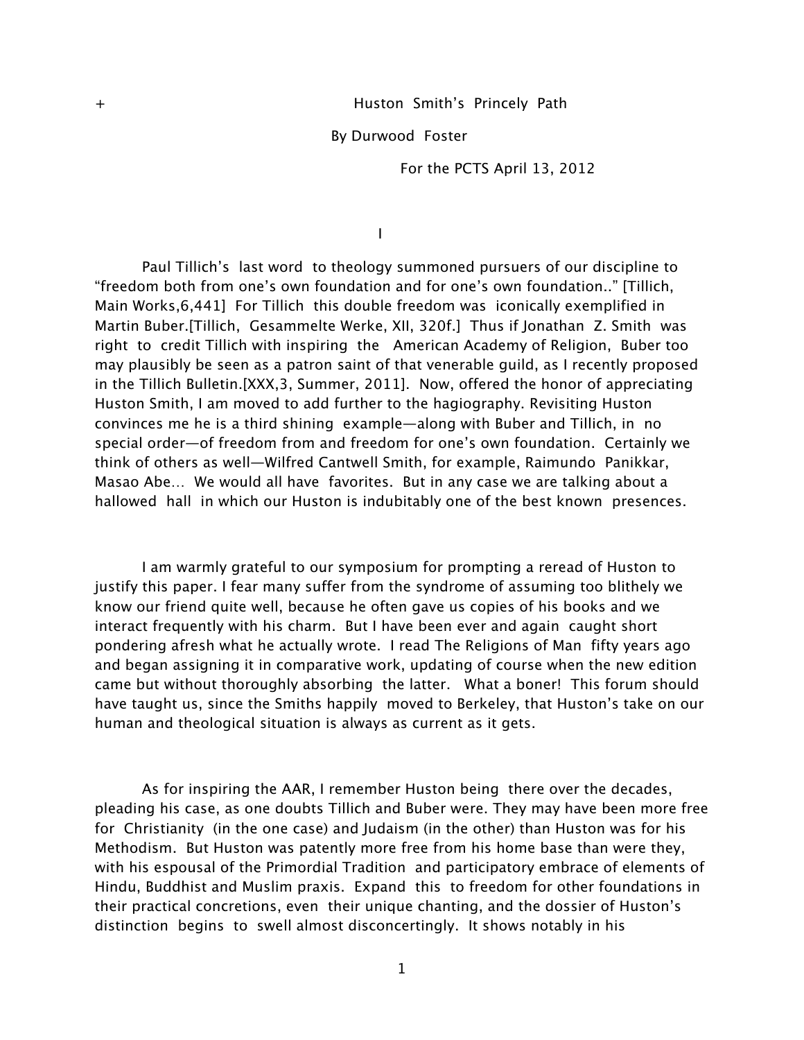By Durwood Foster

For the PCTS April 13, 2012

I

Paul Tillich's last word to theology summoned pursuers of our discipline to "freedom both from one's own foundation and for one's own foundation.." [Tillich, Main Works,6,441] For Tillich this double freedom was iconically exemplified in Martin Buber.[Tillich, Gesammelte Werke, XII, 320f.] Thus if Jonathan Z. Smith was right to credit Tillich with inspiring the American Academy of Religion, Buber too may plausibly be seen as a patron saint of that venerable guild, as I recently proposed in the Tillich Bulletin.[XXX,3, Summer, 2011]. Now, offered the honor of appreciating Huston Smith, I am moved to add further to the hagiography. Revisiting Huston convinces me he is a third shining example—along with Buber and Tillich, in no special order—of freedom from and freedom for one's own foundation. Certainly we think of others as well—Wilfred Cantwell Smith, for example, Raimundo Panikkar, Masao Abe… We would all have favorites. But in any case we are talking about a hallowed hall in which our Huston is indubitably one of the best known presences.

I am warmly grateful to our symposium for prompting a reread of Huston to justify this paper. I fear many suffer from the syndrome of assuming too blithely we know our friend quite well, because he often gave us copies of his books and we interact frequently with his charm. But I have been ever and again caught short pondering afresh what he actually wrote. I read The Religions of Man fifty years ago and began assigning it in comparative work, updating of course when the new edition came but without thoroughly absorbing the latter. What a boner! This forum should have taught us, since the Smiths happily moved to Berkeley, that Huston's take on our human and theological situation is always as current as it gets.

As for inspiring the AAR, I remember Huston being there over the decades, pleading his case, as one doubts Tillich and Buber were. They may have been more free for Christianity (in the one case) and Judaism (in the other) than Huston was for his Methodism. But Huston was patently more free from his home base than were they, with his espousal of the Primordial Tradition and participatory embrace of elements of Hindu, Buddhist and Muslim praxis. Expand this to freedom for other foundations in their practical concretions, even their unique chanting, and the dossier of Huston's distinction begins to swell almost disconcertingly. It shows notably in his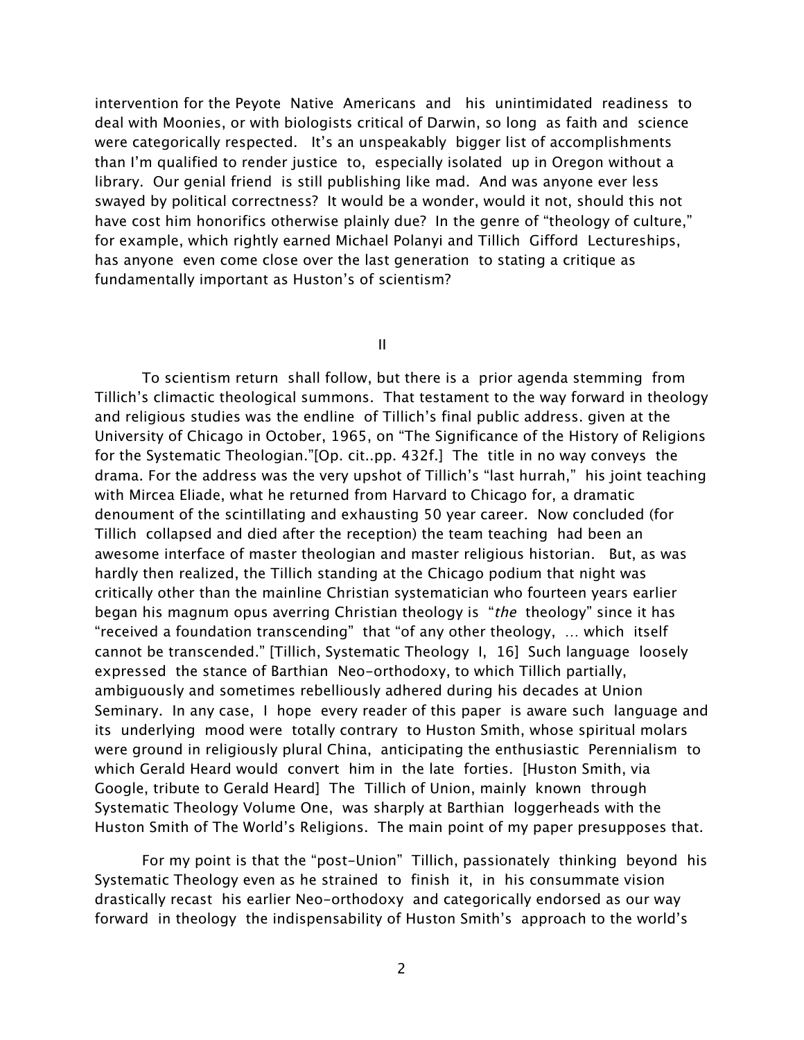intervention for the Peyote Native Americans and his unintimidated readiness to deal with Moonies, or with biologists critical of Darwin, so long as faith and science were categorically respected. It's an unspeakably bigger list of accomplishments than I'm qualified to render justice to, especially isolated up in Oregon without a library. Our genial friend is still publishing like mad. And was anyone ever less swayed by political correctness? It would be a wonder, would it not, should this not have cost him honorifics otherwise plainly due? In the genre of "theology of culture," for example, which rightly earned Michael Polanyi and Tillich Gifford Lectureships, has anyone even come close over the last generation to stating a critique as fundamentally important as Huston's of scientism?

II

To scientism return shall follow, but there is a prior agenda stemming from Tillich's climactic theological summons. That testament to the way forward in theology and religious studies was the endline of Tillich's final public address. given at the University of Chicago in October, 1965, on "The Significance of the History of Religions for the Systematic Theologian."[Op. cit..pp. 432f.] The title in no way conveys the drama. For the address was the very upshot of Tillich's "last hurrah," his joint teaching with Mircea Eliade, what he returned from Harvard to Chicago for, a dramatic denoument of the scintillating and exhausting 50 year career. Now concluded (for Tillich collapsed and died after the reception) the team teaching had been an awesome interface of master theologian and master religious historian. But, as was hardly then realized, the Tillich standing at the Chicago podium that night was critically other than the mainline Christian systematician who fourteen years earlier began his magnum opus averring Christian theology is "the theology" since it has "received a foundation transcending" that "of any other theology, … which itself cannot be transcended." [Tillich, Systematic Theology I, 16] Such language loosely expressed the stance of Barthian Neo-orthodoxy, to which Tillich partially, ambiguously and sometimes rebelliously adhered during his decades at Union Seminary. In any case, I hope every reader of this paper is aware such language and its underlying mood were totally contrary to Huston Smith, whose spiritual molars were ground in religiously plural China, anticipating the enthusiastic Perennialism to which Gerald Heard would convert him in the late forties. [Huston Smith, via Google, tribute to Gerald Heard] The Tillich of Union, mainly known through Systematic Theology Volume One, was sharply at Barthian loggerheads with the Huston Smith of The World's Religions. The main point of my paper presupposes that.

For my point is that the "post-Union" Tillich, passionately thinking beyond his Systematic Theology even as he strained to finish it, in his consummate vision drastically recast his earlier Neo-orthodoxy and categorically endorsed as our way forward in theology the indispensability of Huston Smith's approach to the world's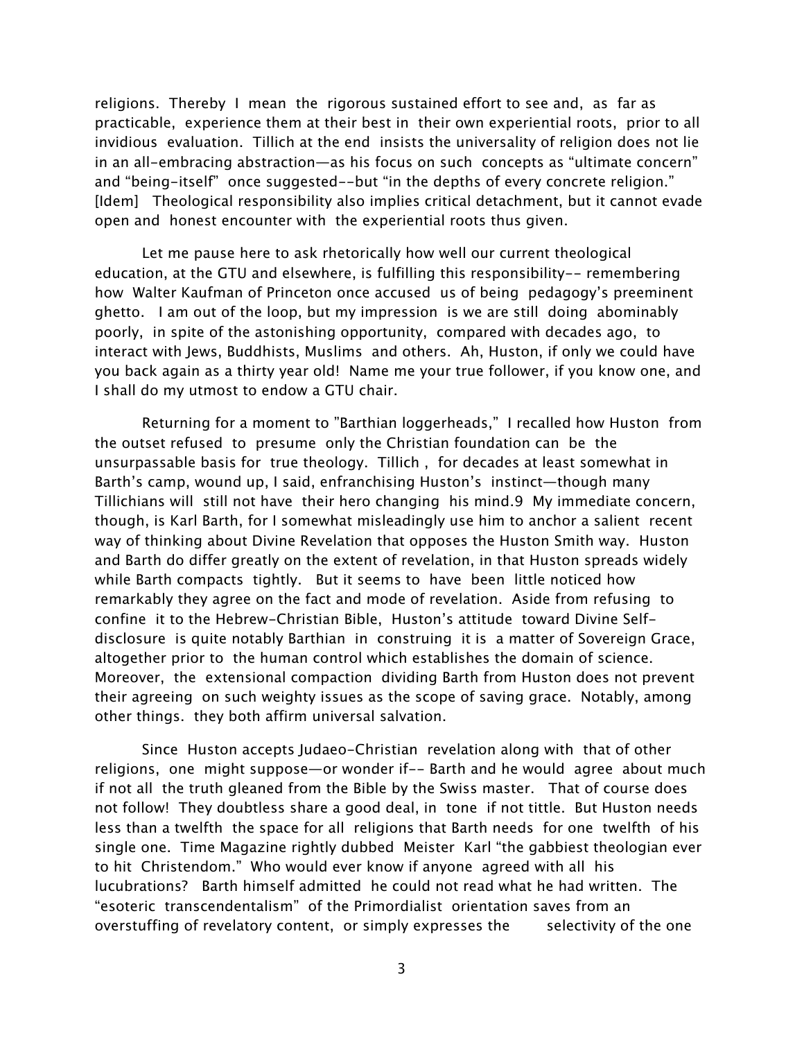religions. Thereby I mean the rigorous sustained effort to see and, as far as practicable, experience them at their best in their own experiential roots, prior to all invidious evaluation. Tillich at the end insists the universality of religion does not lie in an all-embracing abstraction—as his focus on such concepts as "ultimate concern" and "being-itself" once suggested--but "in the depths of every concrete religion." [Idem] Theological responsibility also implies critical detachment, but it cannot evade open and honest encounter with the experiential roots thus given.

Let me pause here to ask rhetorically how well our current theological education, at the GTU and elsewhere, is fulfilling this responsibility-- remembering how Walter Kaufman of Princeton once accused us of being pedagogy's preeminent ghetto. I am out of the loop, but my impression is we are still doing abominably poorly, in spite of the astonishing opportunity, compared with decades ago, to interact with Jews, Buddhists, Muslims and others. Ah, Huston, if only we could have you back again as a thirty year old! Name me your true follower, if you know one, and I shall do my utmost to endow a GTU chair.

Returning for a moment to "Barthian loggerheads," I recalled how Huston from the outset refused to presume only the Christian foundation can be the unsurpassable basis for true theology. Tillich , for decades at least somewhat in Barth's camp, wound up, I said, enfranchising Huston's instinct—though many Tillichians will still not have their hero changing his mind.9 My immediate concern, though, is Karl Barth, for I somewhat misleadingly use him to anchor a salient recent way of thinking about Divine Revelation that opposes the Huston Smith way. Huston and Barth do differ greatly on the extent of revelation, in that Huston spreads widely while Barth compacts tightly. But it seems to have been little noticed how remarkably they agree on the fact and mode of revelation. Aside from refusing to confine it to the Hebrew-Christian Bible, Huston's attitude toward Divine Selfdisclosure is quite notably Barthian in construing it is a matter of Sovereign Grace, altogether prior to the human control which establishes the domain of science. Moreover, the extensional compaction dividing Barth from Huston does not prevent their agreeing on such weighty issues as the scope of saving grace. Notably, among other things. they both affirm universal salvation.

Since Huston accepts Judaeo-Christian revelation along with that of other religions, one might suppose—or wonder if-- Barth and he would agree about much if not all the truth gleaned from the Bible by the Swiss master. That of course does not follow! They doubtless share a good deal, in tone if not tittle. But Huston needs less than a twelfth the space for all religions that Barth needs for one twelfth of his single one. Time Magazine rightly dubbed Meister Karl "the gabbiest theologian ever to hit Christendom." Who would ever know if anyone agreed with all his lucubrations? Barth himself admitted he could not read what he had written. The "esoteric transcendentalism" of the Primordialist orientation saves from an overstuffing of revelatory content, or simply expresses the selectivity of the one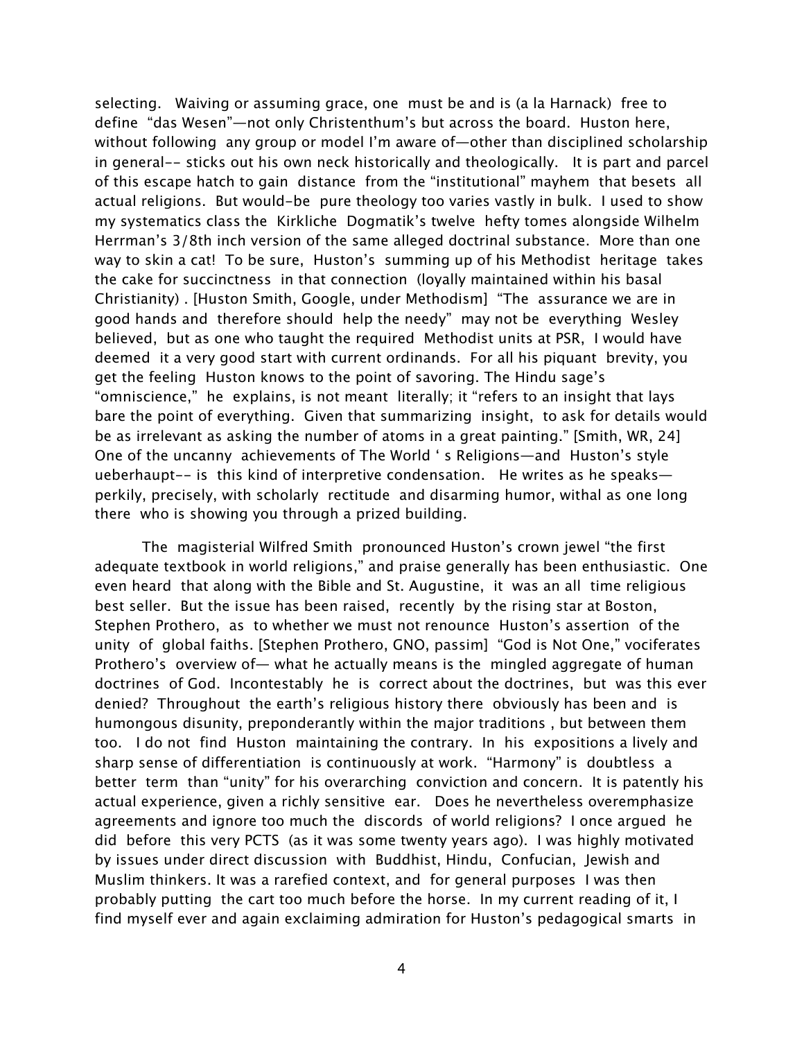selecting. Waiving or assuming grace, one must be and is (a la Harnack) free to define "das Wesen"—not only Christenthum's but across the board. Huston here, without following any group or model I'm aware of—other than disciplined scholarship in general-- sticks out his own neck historically and theologically. It is part and parcel of this escape hatch to gain distance from the "institutional" mayhem that besets all actual religions. But would-be pure theology too varies vastly in bulk. I used to show my systematics class the Kirkliche Dogmatik's twelve hefty tomes alongside Wilhelm Herrman's 3/8th inch version of the same alleged doctrinal substance. More than one way to skin a cat! To be sure, Huston's summing up of his Methodist heritage takes the cake for succinctness in that connection (loyally maintained within his basal Christianity) . [Huston Smith, Google, under Methodism] "The assurance we are in good hands and therefore should help the needy" may not be everything Wesley believed, but as one who taught the required Methodist units at PSR, I would have deemed it a very good start with current ordinands. For all his piquant brevity, you get the feeling Huston knows to the point of savoring. The Hindu sage's "omniscience," he explains, is not meant literally; it "refers to an insight that lays bare the point of everything. Given that summarizing insight, to ask for details would be as irrelevant as asking the number of atoms in a great painting." [Smith, WR, 24] One of the uncanny achievements of The World ' s Religions—and Huston's style ueberhaupt-- is this kind of interpretive condensation. He writes as he speaks perkily, precisely, with scholarly rectitude and disarming humor, withal as one long there who is showing you through a prized building.

The magisterial Wilfred Smith pronounced Huston's crown jewel "the first adequate textbook in world religions," and praise generally has been enthusiastic. One even heard that along with the Bible and St. Augustine, it was an all time religious best seller. But the issue has been raised, recently by the rising star at Boston, Stephen Prothero, as to whether we must not renounce Huston's assertion of the unity of global faiths. [Stephen Prothero, GNO, passim] "God is Not One," vociferates Prothero's overview of— what he actually means is the mingled aggregate of human doctrines of God. Incontestably he is correct about the doctrines, but was this ever denied? Throughout the earth's religious history there obviously has been and is humongous disunity, preponderantly within the major traditions , but between them too. I do not find Huston maintaining the contrary. In his expositions a lively and sharp sense of differentiation is continuously at work. "Harmony" is doubtless a better term than "unity" for his overarching conviction and concern. It is patently his actual experience, given a richly sensitive ear. Does he nevertheless overemphasize agreements and ignore too much the discords of world religions? I once argued he did before this very PCTS (as it was some twenty years ago). I was highly motivated by issues under direct discussion with Buddhist, Hindu, Confucian, Jewish and Muslim thinkers. It was a rarefied context, and for general purposes I was then probably putting the cart too much before the horse. In my current reading of it, I find myself ever and again exclaiming admiration for Huston's pedagogical smarts in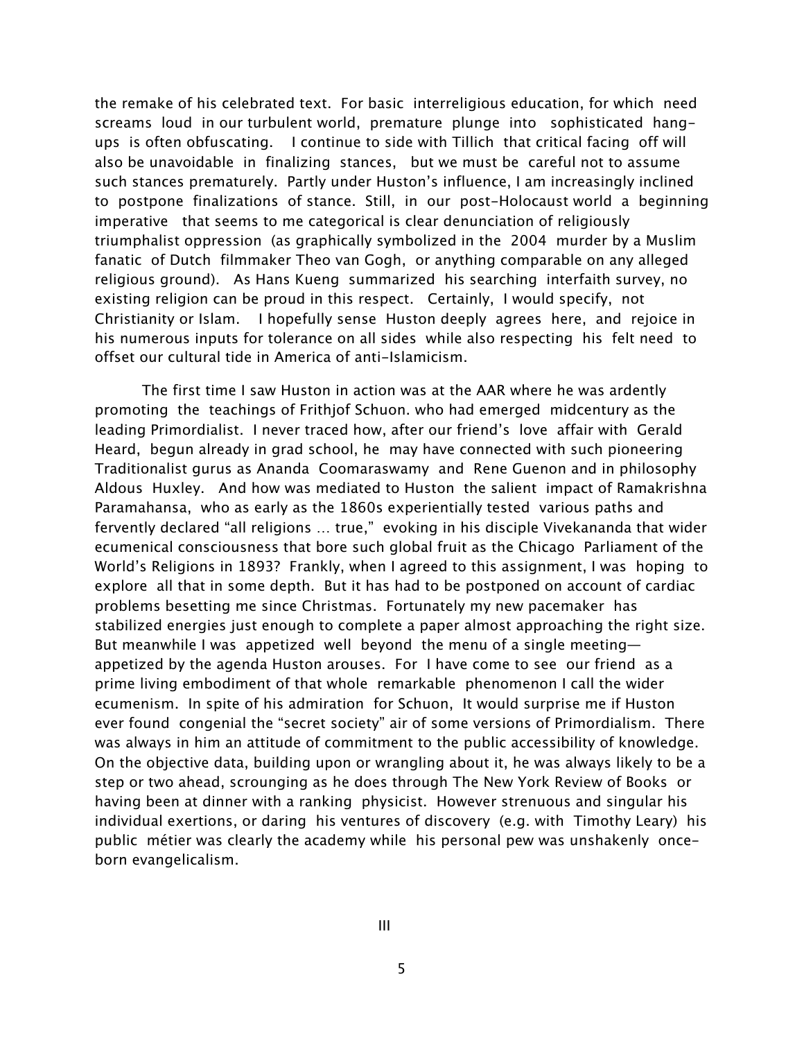the remake of his celebrated text. For basic interreligious education, for which need screams loud in our turbulent world, premature plunge into sophisticated hangups is often obfuscating. I continue to side with Tillich that critical facing off will also be unavoidable in finalizing stances, but we must be careful not to assume such stances prematurely. Partly under Huston's influence, I am increasingly inclined to postpone finalizations of stance. Still, in our post-Holocaust world a beginning imperative that seems to me categorical is clear denunciation of religiously triumphalist oppression (as graphically symbolized in the 2004 murder by a Muslim fanatic of Dutch filmmaker Theo van Gogh, or anything comparable on any alleged religious ground). As Hans Kueng summarized his searching interfaith survey, no existing religion can be proud in this respect. Certainly, I would specify, not Christianity or Islam. I hopefully sense Huston deeply agrees here, and rejoice in his numerous inputs for tolerance on all sides while also respecting his felt need to offset our cultural tide in America of anti-Islamicism.

The first time I saw Huston in action was at the AAR where he was ardently promoting the teachings of Frithjof Schuon. who had emerged midcentury as the leading Primordialist. I never traced how, after our friend's love affair with Gerald Heard, begun already in grad school, he may have connected with such pioneering Traditionalist gurus as Ananda Coomaraswamy and Rene Guenon and in philosophy Aldous Huxley. And how was mediated to Huston the salient impact of Ramakrishna Paramahansa, who as early as the 1860s experientially tested various paths and fervently declared "all religions … true," evoking in his disciple Vivekananda that wider ecumenical consciousness that bore such global fruit as the Chicago Parliament of the World's Religions in 1893? Frankly, when I agreed to this assignment, I was hoping to explore all that in some depth. But it has had to be postponed on account of cardiac problems besetting me since Christmas. Fortunately my new pacemaker has stabilized energies just enough to complete a paper almost approaching the right size. But meanwhile I was appetized well beyond the menu of a single meeting appetized by the agenda Huston arouses. For I have come to see our friend as a prime living embodiment of that whole remarkable phenomenon I call the wider ecumenism. In spite of his admiration for Schuon, It would surprise me if Huston ever found congenial the "secret society" air of some versions of Primordialism. There was always in him an attitude of commitment to the public accessibility of knowledge. On the objective data, building upon or wrangling about it, he was always likely to be a step or two ahead, scrounging as he does through The New York Review of Books or having been at dinner with a ranking physicist. However strenuous and singular his individual exertions, or daring his ventures of discovery (e.g. with Timothy Leary) his public métier was clearly the academy while his personal pew was unshakenly onceborn evangelicalism.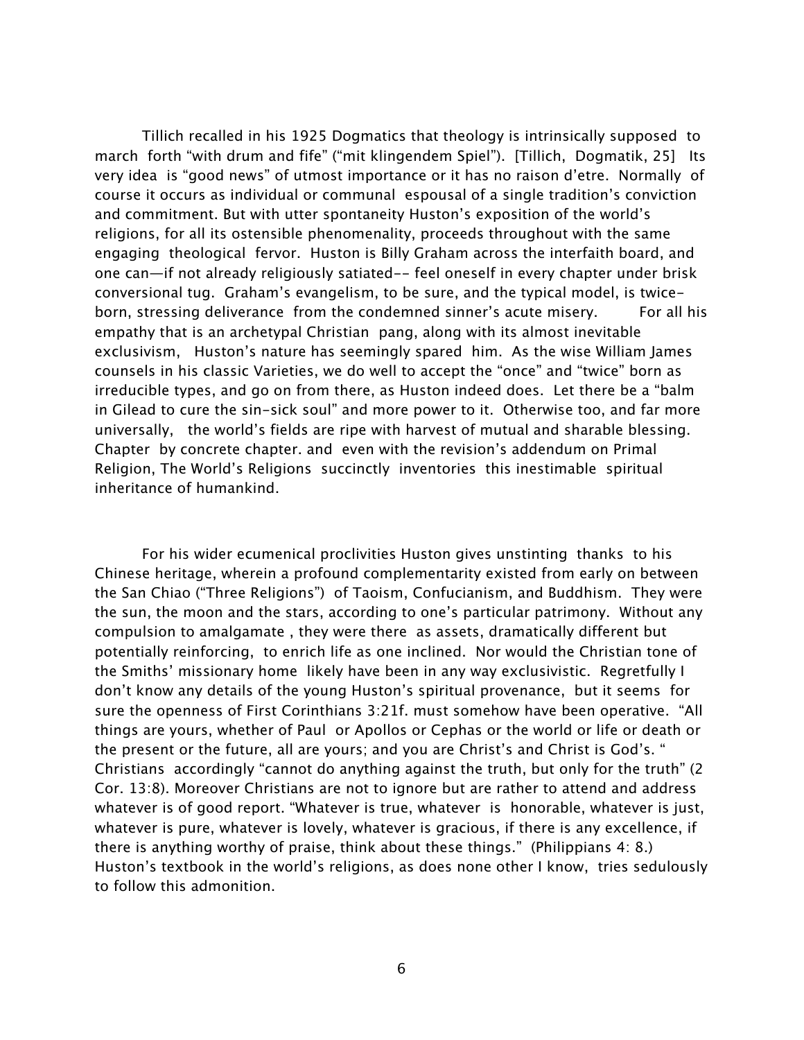Tillich recalled in his 1925 Dogmatics that theology is intrinsically supposed to march forth "with drum and fife" ("mit klingendem Spiel"). [Tillich, Dogmatik, 25] Its very idea is "good news" of utmost importance or it has no raison d'etre. Normally of course it occurs as individual or communal espousal of a single tradition's conviction and commitment. But with utter spontaneity Huston's exposition of the world's religions, for all its ostensible phenomenality, proceeds throughout with the same engaging theological fervor. Huston is Billy Graham across the interfaith board, and one can—if not already religiously satiated-- feel oneself in every chapter under brisk conversional tug. Graham's evangelism, to be sure, and the typical model, is twiceborn, stressing deliverance from the condemned sinner's acute misery. For all his empathy that is an archetypal Christian pang, along with its almost inevitable exclusivism, Huston's nature has seemingly spared him. As the wise William James counsels in his classic Varieties, we do well to accept the "once" and "twice" born as irreducible types, and go on from there, as Huston indeed does. Let there be a "balm in Gilead to cure the sin-sick soul" and more power to it. Otherwise too, and far more universally, the world's fields are ripe with harvest of mutual and sharable blessing. Chapter by concrete chapter. and even with the revision's addendum on Primal Religion, The World's Religions succinctly inventories this inestimable spiritual inheritance of humankind.

For his wider ecumenical proclivities Huston gives unstinting thanks to his Chinese heritage, wherein a profound complementarity existed from early on between the San Chiao ("Three Religions") of Taoism, Confucianism, and Buddhism. They were the sun, the moon and the stars, according to one's particular patrimony. Without any compulsion to amalgamate , they were there as assets, dramatically different but potentially reinforcing, to enrich life as one inclined. Nor would the Christian tone of the Smiths' missionary home likely have been in any way exclusivistic. Regretfully I don't know any details of the young Huston's spiritual provenance, but it seems for sure the openness of First Corinthians 3:21f. must somehow have been operative. "All things are yours, whether of Paul or Apollos or Cephas or the world or life or death or the present or the future, all are yours; and you are Christ's and Christ is God's. " Christians accordingly "cannot do anything against the truth, but only for the truth" (2 Cor. 13:8). Moreover Christians are not to ignore but are rather to attend and address whatever is of good report. "Whatever is true, whatever is honorable, whatever is just, whatever is pure, whatever is lovely, whatever is gracious, if there is any excellence, if there is anything worthy of praise, think about these things." (Philippians 4: 8.) Huston's textbook in the world's religions, as does none other I know, tries sedulously to follow this admonition.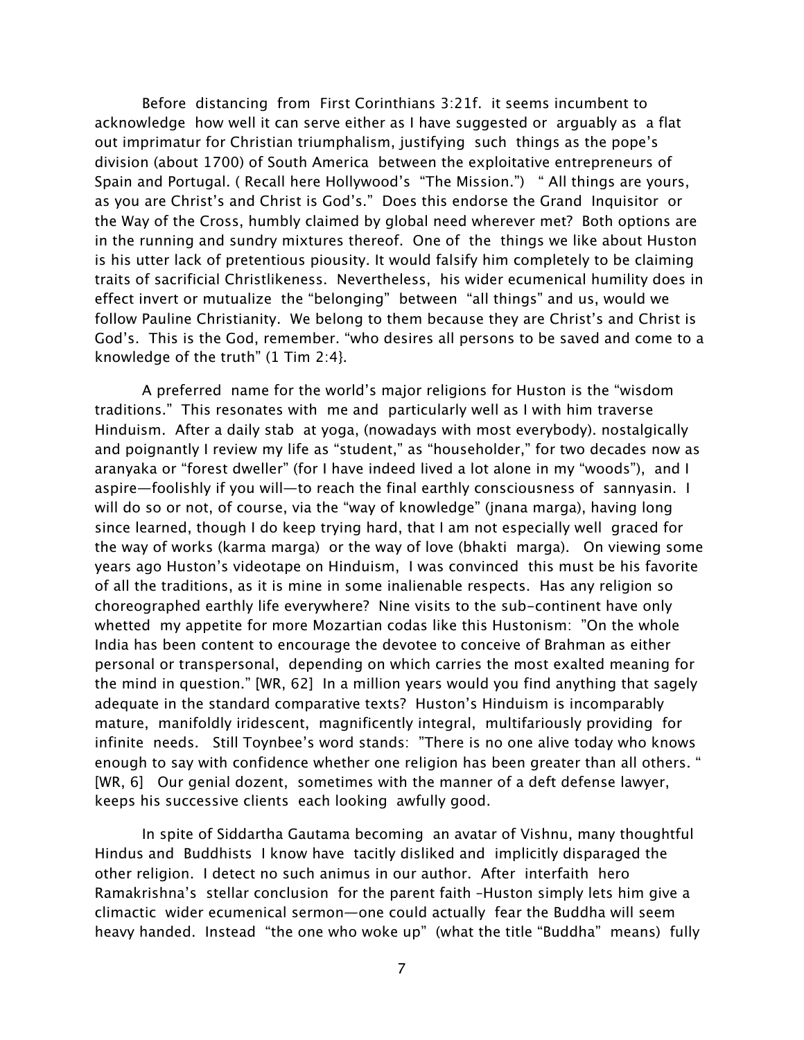Before distancing from First Corinthians 3:21f. it seems incumbent to acknowledge how well it can serve either as I have suggested or arguably as a flat out imprimatur for Christian triumphalism, justifying such things as the pope's division (about 1700) of South America between the exploitative entrepreneurs of Spain and Portugal. ( Recall here Hollywood's "The Mission.") " All things are yours, as you are Christ's and Christ is God's." Does this endorse the Grand Inquisitor or the Way of the Cross, humbly claimed by global need wherever met? Both options are in the running and sundry mixtures thereof. One of the things we like about Huston is his utter lack of pretentious piousity. It would falsify him completely to be claiming traits of sacrificial Christlikeness. Nevertheless, his wider ecumenical humility does in effect invert or mutualize the "belonging" between "all things" and us, would we follow Pauline Christianity. We belong to them because they are Christ's and Christ is God's. This is the God, remember. "who desires all persons to be saved and come to a knowledge of the truth" (1 Tim 2:4}.

A preferred name for the world's major religions for Huston is the "wisdom traditions." This resonates with me and particularly well as I with him traverse Hinduism. After a daily stab at yoga, (nowadays with most everybody). nostalgically and poignantly I review my life as "student," as "householder," for two decades now as aranyaka or "forest dweller" (for I have indeed lived a lot alone in my "woods"), and I aspire—foolishly if you will—to reach the final earthly consciousness of sannyasin. I will do so or not, of course, via the "way of knowledge" (jnana marga), having long since learned, though I do keep trying hard, that I am not especially well graced for the way of works (karma marga) or the way of love (bhakti marga). On viewing some years ago Huston's videotape on Hinduism, I was convinced this must be his favorite of all the traditions, as it is mine in some inalienable respects. Has any religion so choreographed earthly life everywhere? Nine visits to the sub-continent have only whetted my appetite for more Mozartian codas like this Hustonism: "On the whole India has been content to encourage the devotee to conceive of Brahman as either personal or transpersonal, depending on which carries the most exalted meaning for the mind in question." [WR, 62] In a million years would you find anything that sagely adequate in the standard comparative texts? Huston's Hinduism is incomparably mature, manifoldly iridescent, magnificently integral, multifariously providing for infinite needs. Still Toynbee's word stands: "There is no one alive today who knows enough to say with confidence whether one religion has been greater than all others. " [WR, 6] Our genial dozent, sometimes with the manner of a deft defense lawyer, keeps his successive clients each looking awfully good.

In spite of Siddartha Gautama becoming an avatar of Vishnu, many thoughtful Hindus and Buddhists I know have tacitly disliked and implicitly disparaged the other religion. I detect no such animus in our author. After interfaith hero Ramakrishna's stellar conclusion for the parent faith –Huston simply lets him give a climactic wider ecumenical sermon—one could actually fear the Buddha will seem heavy handed. Instead "the one who woke up" (what the title "Buddha" means) fully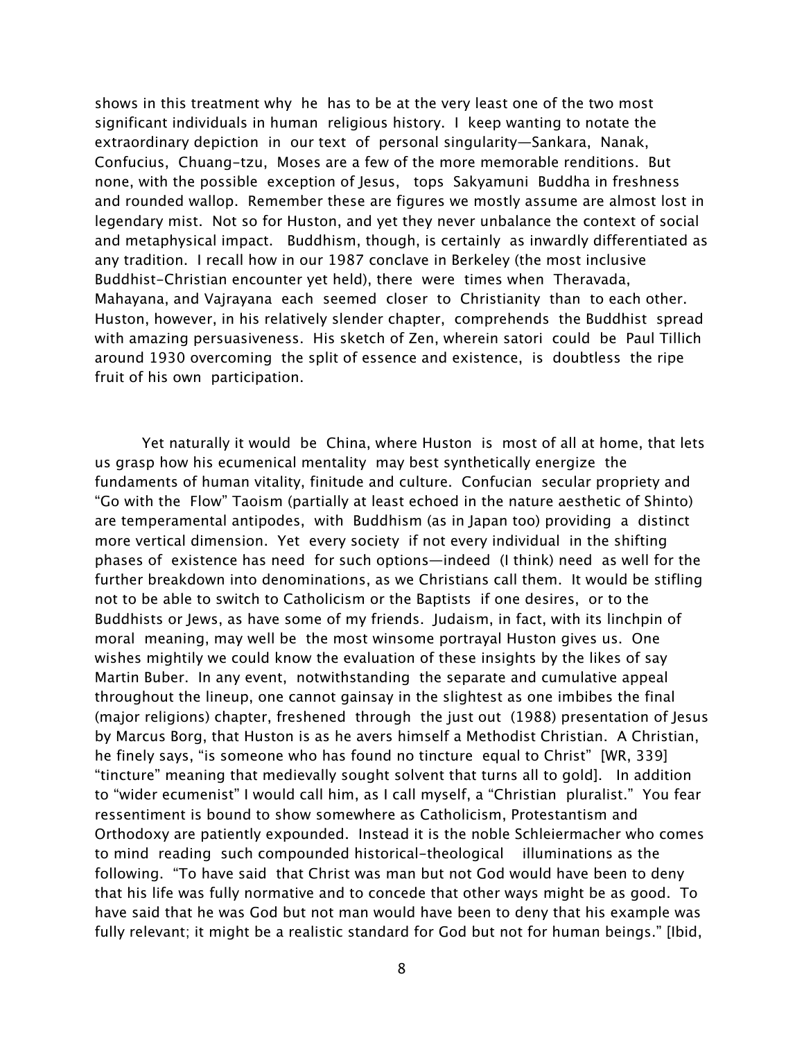shows in this treatment why he has to be at the very least one of the two most significant individuals in human religious history. I keep wanting to notate the extraordinary depiction in our text of personal singularity—Sankara, Nanak, Confucius, Chuang-tzu, Moses are a few of the more memorable renditions. But none, with the possible exception of Jesus, tops Sakyamuni Buddha in freshness and rounded wallop. Remember these are figures we mostly assume are almost lost in legendary mist. Not so for Huston, and yet they never unbalance the context of social and metaphysical impact. Buddhism, though, is certainly as inwardly differentiated as any tradition. I recall how in our 1987 conclave in Berkeley (the most inclusive Buddhist-Christian encounter yet held), there were times when Theravada, Mahayana, and Vajrayana each seemed closer to Christianity than to each other. Huston, however, in his relatively slender chapter, comprehends the Buddhist spread with amazing persuasiveness. His sketch of Zen, wherein satori could be Paul Tillich around 1930 overcoming the split of essence and existence, is doubtless the ripe fruit of his own participation.

Yet naturally it would be China, where Huston is most of all at home, that lets us grasp how his ecumenical mentality may best synthetically energize the fundaments of human vitality, finitude and culture. Confucian secular propriety and "Go with the Flow" Taoism (partially at least echoed in the nature aesthetic of Shinto) are temperamental antipodes, with Buddhism (as in Japan too) providing a distinct more vertical dimension. Yet every society if not every individual in the shifting phases of existence has need for such options—indeed (I think) need as well for the further breakdown into denominations, as we Christians call them. It would be stifling not to be able to switch to Catholicism or the Baptists if one desires, or to the Buddhists or Jews, as have some of my friends. Judaism, in fact, with its linchpin of moral meaning, may well be the most winsome portrayal Huston gives us. One wishes mightily we could know the evaluation of these insights by the likes of say Martin Buber. In any event, notwithstanding the separate and cumulative appeal throughout the lineup, one cannot gainsay in the slightest as one imbibes the final (major religions) chapter, freshened through the just out (1988) presentation of Jesus by Marcus Borg, that Huston is as he avers himself a Methodist Christian. A Christian, he finely says, "is someone who has found no tincture equal to Christ" [WR, 339] "tincture" meaning that medievally sought solvent that turns all to gold]. In addition to "wider ecumenist" I would call him, as I call myself, a "Christian pluralist." You fear ressentiment is bound to show somewhere as Catholicism, Protestantism and Orthodoxy are patiently expounded. Instead it is the noble Schleiermacher who comes to mind reading such compounded historical-theological illuminations as the following. "To have said that Christ was man but not God would have been to deny that his life was fully normative and to concede that other ways might be as good. To have said that he was God but not man would have been to deny that his example was fully relevant; it might be a realistic standard for God but not for human beings." [Ibid,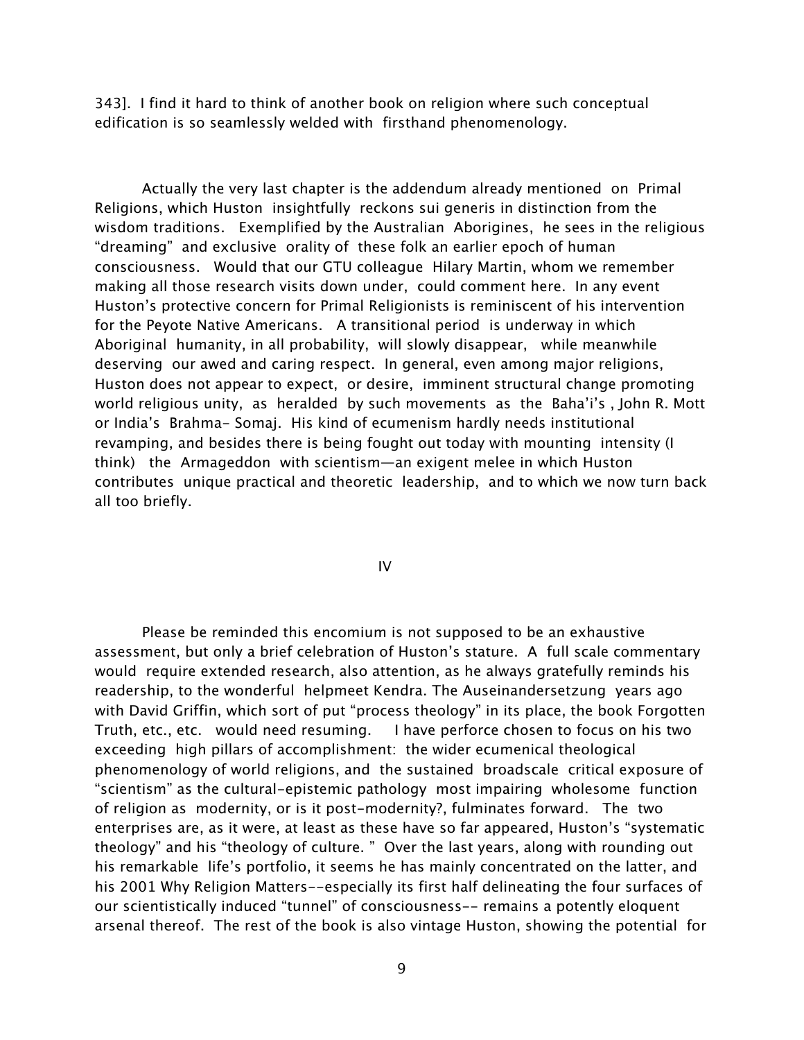343]. I find it hard to think of another book on religion where such conceptual edification is so seamlessly welded with firsthand phenomenology.

Actually the very last chapter is the addendum already mentioned on Primal Religions, which Huston insightfully reckons sui generis in distinction from the wisdom traditions. Exemplified by the Australian Aborigines, he sees in the religious "dreaming" and exclusive orality of these folk an earlier epoch of human consciousness. Would that our GTU colleague Hilary Martin, whom we remember making all those research visits down under, could comment here. In any event Huston's protective concern for Primal Religionists is reminiscent of his intervention for the Peyote Native Americans. A transitional period is underway in which Aboriginal humanity, in all probability, will slowly disappear, while meanwhile deserving our awed and caring respect. In general, even among major religions, Huston does not appear to expect, or desire, imminent structural change promoting world religious unity, as heralded by such movements as the Baha'i's , John R. Mott or India's Brahma- Somaj. His kind of ecumenism hardly needs institutional revamping, and besides there is being fought out today with mounting intensity (I think) the Armageddon with scientism—an exigent melee in which Huston contributes unique practical and theoretic leadership, and to which we now turn back all too briefly.

IV

Please be reminded this encomium is not supposed to be an exhaustive assessment, but only a brief celebration of Huston's stature. A full scale commentary would require extended research, also attention, as he always gratefully reminds his readership, to the wonderful helpmeet Kendra. The Auseinandersetzung years ago with David Griffin, which sort of put "process theology" in its place, the book Forgotten Truth, etc., etc. would need resuming. I have perforce chosen to focus on his two exceeding high pillars of accomplishment: the wider ecumenical theological phenomenology of world religions, and the sustained broadscale critical exposure of "scientism" as the cultural-epistemic pathology most impairing wholesome function of religion as modernity, or is it post-modernity?, fulminates forward. The two enterprises are, as it were, at least as these have so far appeared, Huston's "systematic theology" and his "theology of culture. " Over the last years, along with rounding out his remarkable life's portfolio, it seems he has mainly concentrated on the latter, and his 2001 Why Religion Matters--especially its first half delineating the four surfaces of our scientistically induced "tunnel" of consciousness-- remains a potently eloquent arsenal thereof. The rest of the book is also vintage Huston, showing the potential for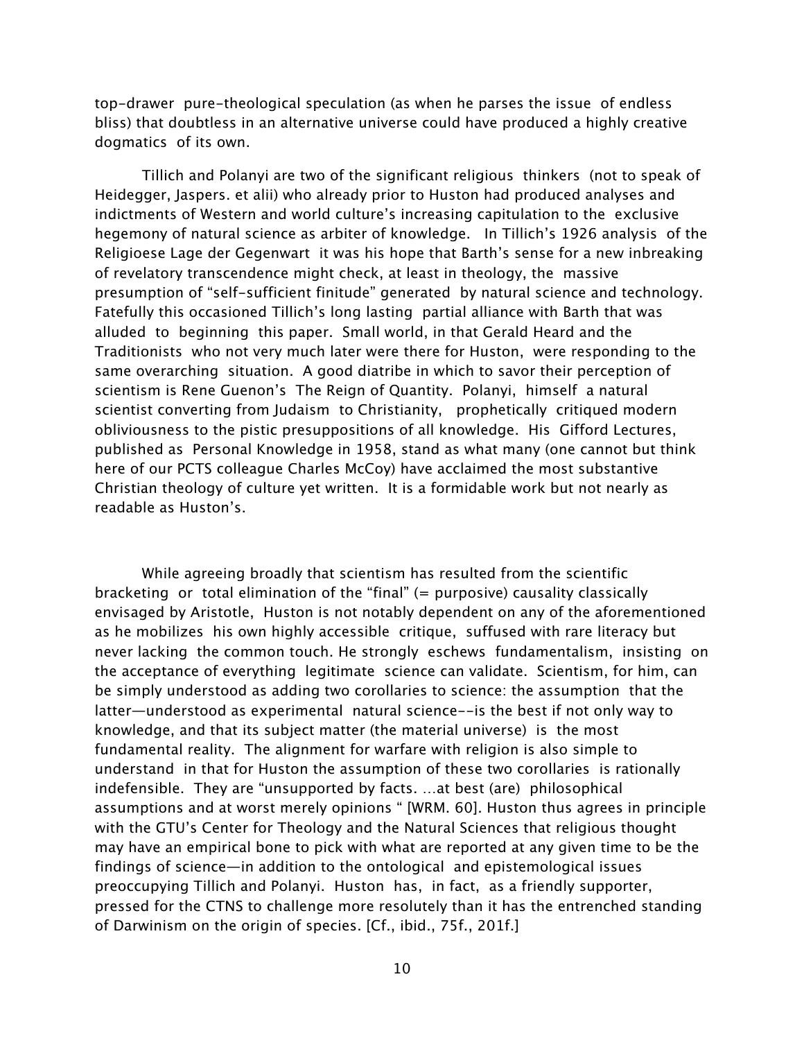top-drawer pure-theological speculation (as when he parses the issue of endless bliss) that doubtless in an alternative universe could have produced a highly creative dogmatics of its own.

Tillich and Polanyi are two of the significant religious thinkers (not to speak of Heidegger, Jaspers. et alii) who already prior to Huston had produced analyses and indictments of Western and world culture's increasing capitulation to the exclusive hegemony of natural science as arbiter of knowledge. In Tillich's 1926 analysis of the Religioese Lage der Gegenwart it was his hope that Barth's sense for a new inbreaking of revelatory transcendence might check, at least in theology, the massive presumption of "self-sufficient finitude" generated by natural science and technology. Fatefully this occasioned Tillich's long lasting partial alliance with Barth that was alluded to beginning this paper. Small world, in that Gerald Heard and the Traditionists who not very much later were there for Huston, were responding to the same overarching situation. A good diatribe in which to savor their perception of scientism is Rene Guenon's The Reign of Quantity. Polanyi, himself a natural scientist converting from Judaism to Christianity, prophetically critiqued modern obliviousness to the pistic presuppositions of all knowledge. His Gifford Lectures, published as Personal Knowledge in 1958, stand as what many (one cannot but think here of our PCTS colleague Charles McCoy) have acclaimed the most substantive Christian theology of culture yet written. It is a formidable work but not nearly as readable as Huston's.

While agreeing broadly that scientism has resulted from the scientific bracketing or total elimination of the "final" (= purposive) causality classically envisaged by Aristotle, Huston is not notably dependent on any of the aforementioned as he mobilizes his own highly accessible critique, suffused with rare literacy but never lacking the common touch. He strongly eschews fundamentalism, insisting on the acceptance of everything legitimate science can validate. Scientism, for him, can be simply understood as adding two corollaries to science: the assumption that the latter—understood as experimental natural science--is the best if not only way to knowledge, and that its subject matter (the material universe) is the most fundamental reality. The alignment for warfare with religion is also simple to understand in that for Huston the assumption of these two corollaries is rationally indefensible. They are "unsupported by facts. …at best (are) philosophical assumptions and at worst merely opinions " [WRM. 60]. Huston thus agrees in principle with the GTU's Center for Theology and the Natural Sciences that religious thought may have an empirical bone to pick with what are reported at any given time to be the findings of science—in addition to the ontological and epistemological issues preoccupying Tillich and Polanyi. Huston has, in fact, as a friendly supporter, pressed for the CTNS to challenge more resolutely than it has the entrenched standing of Darwinism on the origin of species. [Cf., ibid., 75f., 201f.]